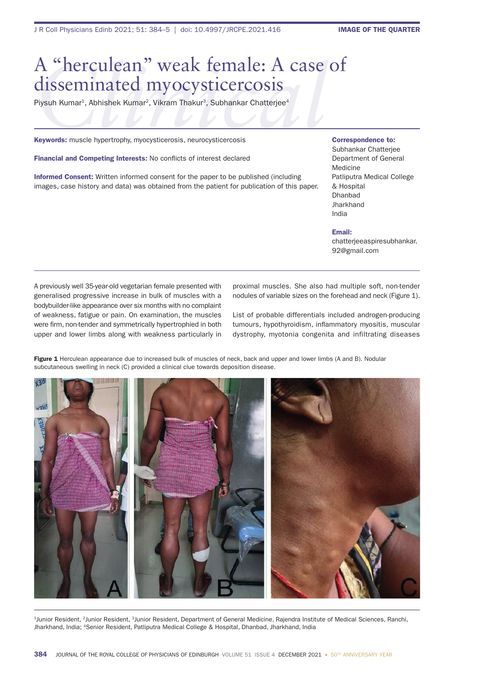## *A* "herculean" weak female: A case of<br>disseminated myocysticercosis<br>Piysuh Kumar<sup>1</sup>, Abhishek Kumar<sup>2</sup>, Vikram Thakur<sup>3</sup>, Subhankar Chatterjee<sup>4</sup><br>Keywords: muscle hypertrophy, myocysticerosis, neurocysticercosis disseminated myocysticercosis

Piysuh Kumar<sup>1</sup>, Abhishek Kumar<sup>2</sup>, Vikram Thakur<sup>3</sup>, Subhankar Chatterjee<sup>4</sup>

Keywords: muscle hypertrophy, myocysticerosis, neurocysticercosis

Financial and Competing Interests: No conflicts of interest declared

Informed Consent: Written informed consent for the paper to be published (including images, case history and data) was obtained from the patient for publication of this paper. Correspondence to:

Subhankar Chatterjee Department of General Medicine Patliputra Medical College & Hospital Dhanbad **Jharkhand** India

Email:

chatterjeeaspiresubhankar. 92@gmail.com

A previously well 35-year-old vegetarian female presented with generalised progressive increase in bulk of muscles with a bodybuilder-like appearance over six months with no complaint of weakness, fatigue or pain. On examination, the muscles were firm, non-tender and symmetrically hypertrophied in both upper and lower limbs along with weakness particularly in proximal muscles. She also had multiple soft, non-tender nodules of variable sizes on the forehead and neck (Figure 1).

List of probable differentials included androgen-producing tumours, hypothyroidism, inflammatory myositis, muscular dystrophy, myotonia congenita and infiltrating diseases

Figure 1 Herculean appearance due to increased bulk of muscles of neck, back and upper and lower limbs (A and B). Nodular subcutaneous swelling in neck (C) provided a clinical clue towards deposition disease.



1Junior Resident, 2Junior Resident, 3Junior Resident, Department of General Medicine, Rajendra Institute of Medical Sciences, Ranchi, Jharkhand, India; 4Senior Resident, Patliputra Medical College & Hospital, Dhanbad, Jharkhand, India